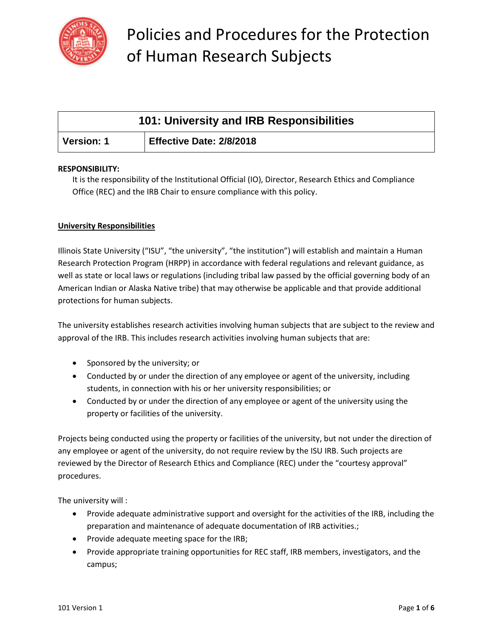

| 101: University and IRB Responsibilities |                          |
|------------------------------------------|--------------------------|
| <b>Version: 1</b>                        | Effective Date: 2/8/2018 |

### **RESPONSIBILITY:**

It is the responsibility of the Institutional Official (IO), Director, Research Ethics and Compliance Office (REC) and the IRB Chair to ensure compliance with this policy.

### **University Responsibilities**

Illinois State University ("ISU", "the university", "the institution") will establish and maintain a Human Research Protection Program (HRPP) in accordance with federal regulations and relevant guidance, as well as state or local laws or regulations (including tribal law passed by the official governing body of an American Indian or Alaska Native tribe) that may otherwise be applicable and that provide additional protections for human subjects.

The university establishes research activities involving human subjects that are subject to the review and approval of the IRB. This includes research activities involving human subjects that are:

- Sponsored by the university; or
- Conducted by or under the direction of any employee or agent of the university, including students, in connection with his or her university responsibilities; or
- Conducted by or under the direction of any employee or agent of the university using the property or facilities of the university.

Projects being conducted using the property or facilities of the university, but not under the direction of any employee or agent of the university, do not require review by the ISU IRB. Such projects are reviewed by the Director of Research Ethics and Compliance (REC) under the "courtesy approval" procedures.

The university will :

- Provide adequate administrative support and oversight for the activities of the IRB, including the preparation and maintenance of adequate documentation of IRB activities.;
- Provide adequate meeting space for the IRB;
- Provide appropriate training opportunities for REC staff, IRB members, investigators, and the campus;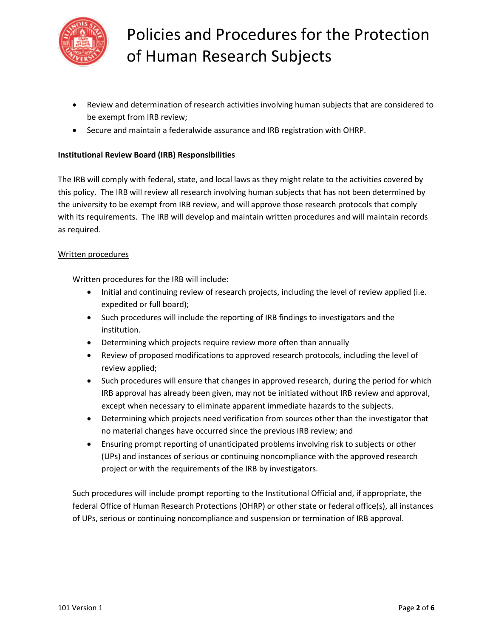

- Review and determination of research activities involving human subjects that are considered to be exempt from IRB review;
- Secure and maintain a federalwide assurance and IRB registration with OHRP.

### **Institutional Review Board (IRB) Responsibilities**

The IRB will comply with federal, state, and local laws as they might relate to the activities covered by this policy. The IRB will review all research involving human subjects that has not been determined by the university to be exempt from IRB review, and will approve those research protocols that comply with its requirements. The IRB will develop and maintain written procedures and will maintain records as required.

#### Written procedures

Written procedures for the IRB will include:

- Initial and continuing review of research projects, including the level of review applied (i.e. expedited or full board);
- Such procedures will include the reporting of IRB findings to investigators and the institution.
- Determining which projects require review more often than annually
- Review of proposed modifications to approved research protocols, including the level of review applied;
- Such procedures will ensure that changes in approved research, during the period for which IRB approval has already been given, may not be initiated without IRB review and approval, except when necessary to eliminate apparent immediate hazards to the subjects.
- Determining which projects need verification from sources other than the investigator that no material changes have occurred since the previous IRB review; and
- Ensuring prompt reporting of unanticipated problems involving risk to subjects or other (UPs) and instances of serious or continuing noncompliance with the approved research project or with the requirements of the IRB by investigators.

Such procedures will include prompt reporting to the Institutional Official and, if appropriate, the federal Office of Human Research Protections (OHRP) or other state or federal office(s), all instances of UPs, serious or continuing noncompliance and suspension or termination of IRB approval.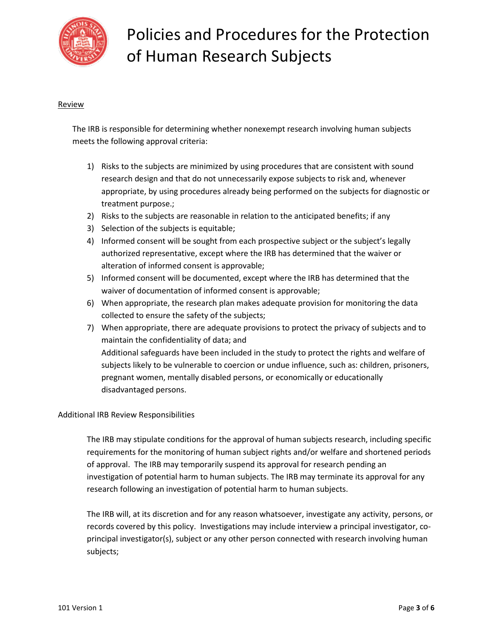

### **Review**

The IRB is responsible for determining whether nonexempt research involving human subjects meets the following approval criteria:

- 1) Risks to the subjects are minimized by using procedures that are consistent with sound research design and that do not unnecessarily expose subjects to risk and, whenever appropriate, by using procedures already being performed on the subjects for diagnostic or treatment purpose.;
- 2) Risks to the subjects are reasonable in relation to the anticipated benefits; if any
- 3) Selection of the subjects is equitable;
- 4) Informed consent will be sought from each prospective subject or the subject's legally authorized representative, except where the IRB has determined that the waiver or alteration of informed consent is approvable;
- 5) Informed consent will be documented, except where the IRB has determined that the waiver of documentation of informed consent is approvable;
- 6) When appropriate, the research plan makes adequate provision for monitoring the data collected to ensure the safety of the subjects;
- 7) When appropriate, there are adequate provisions to protect the privacy of subjects and to maintain the confidentiality of data; and Additional safeguards have been included in the study to protect the rights and welfare of subjects likely to be vulnerable to coercion or undue influence, such as: children, prisoners, pregnant women, mentally disabled persons, or economically or educationally disadvantaged persons.

### Additional IRB Review Responsibilities

The IRB may stipulate conditions for the approval of human subjects research, including specific requirements for the monitoring of human subject rights and/or welfare and shortened periods of approval. The IRB may temporarily suspend its approval for research pending an investigation of potential harm to human subjects. The IRB may terminate its approval for any research following an investigation of potential harm to human subjects.

The IRB will, at its discretion and for any reason whatsoever, investigate any activity, persons, or records covered by this policy. Investigations may include interview a principal investigator, coprincipal investigator(s), subject or any other person connected with research involving human subjects;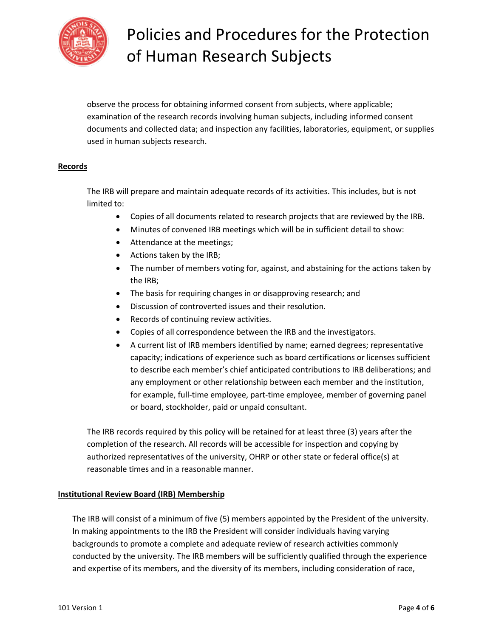

observe the process for obtaining informed consent from subjects, where applicable; examination of the research records involving human subjects, including informed consent documents and collected data; and inspection any facilities, laboratories, equipment, or supplies used in human subjects research.

### **Records**

The IRB will prepare and maintain adequate records of its activities. This includes, but is not limited to:

- Copies of all documents related to research projects that are reviewed by the IRB.
- Minutes of convened IRB meetings which will be in sufficient detail to show:
- Attendance at the meetings;
- Actions taken by the IRB;
- The number of members voting for, against, and abstaining for the actions taken by the IRB;
- The basis for requiring changes in or disapproving research; and
- Discussion of controverted issues and their resolution.
- Records of continuing review activities.
- Copies of all correspondence between the IRB and the investigators.
- A current list of IRB members identified by name; earned degrees; representative capacity; indications of experience such as board certifications or licenses sufficient to describe each member's chief anticipated contributions to IRB deliberations; and any employment or other relationship between each member and the institution, for example, full-time employee, part-time employee, member of governing panel or board, stockholder, paid or unpaid consultant.

The IRB records required by this policy will be retained for at least three (3) years after the completion of the research. All records will be accessible for inspection and copying by authorized representatives of the university, OHRP or other state or federal office(s) at reasonable times and in a reasonable manner.

### **Institutional Review Board (IRB) Membership**

The IRB will consist of a minimum of five (5) members appointed by the President of the university. In making appointments to the IRB the President will consider individuals having varying backgrounds to promote a complete and adequate review of research activities commonly conducted by the university. The IRB members will be sufficiently qualified through the experience and expertise of its members, and the diversity of its members, including consideration of race,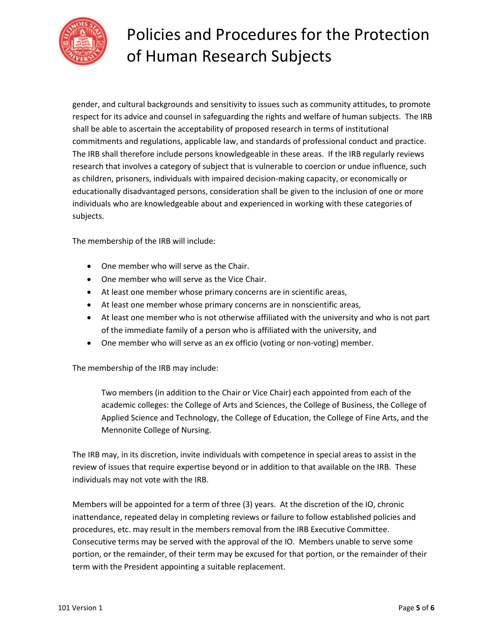

gender, and cultural backgrounds and sensitivity to issues such as community attitudes, to promote respect for its advice and counsel in safeguarding the rights and welfare of human subjects. The IRB shall be able to ascertain the acceptability of proposed research in terms of institutional commitments and regulations, applicable law, and standards of professional conduct and practice. The IRB shall therefore include persons knowledgeable in these areas. If the IRB regularly reviews research that involves a category of subject that is vulnerable to coercion or undue influence, such as children, prisoners, individuals with impaired decision-making capacity, or economically or educationally disadvantaged persons, consideration shall be given to the inclusion of one or more individuals who are knowledgeable about and experienced in working with these categories of subjects.

The membership of the IRB will include:

- One member who will serve as the Chair.
- One member who will serve as the Vice Chair.
- At least one member whose primary concerns are in scientific areas,
- At least one member whose primary concerns are in nonscientific areas,
- At least one member who is not otherwise affiliated with the university and who is not part of the immediate family of a person who is affiliated with the university, and
- One member who will serve as an ex officio (voting or non-voting) member.

The membership of the IRB may include:

Two members (in addition to the Chair or Vice Chair) each appointed from each of the academic colleges: the College of Arts and Sciences, the College of Business, the College of Applied Science and Technology, the College of Education, the College of Fine Arts, and the Mennonite College of Nursing.

The IRB may, in its discretion, invite individuals with competence in special areas to assist in the review of issues that require expertise beyond or in addition to that available on the IRB. These individuals may not vote with the IRB.

Members will be appointed for a term of three (3) years. At the discretion of the IO, chronic inattendance, repeated delay in completing reviews or failure to follow established policies and procedures, etc. may result in the members removal from the IRB Executive Committee. Consecutive terms may be served with the approval of the IO. Members unable to serve some portion, or the remainder, of their term may be excused for that portion, or the remainder of their term with the President appointing a suitable replacement.